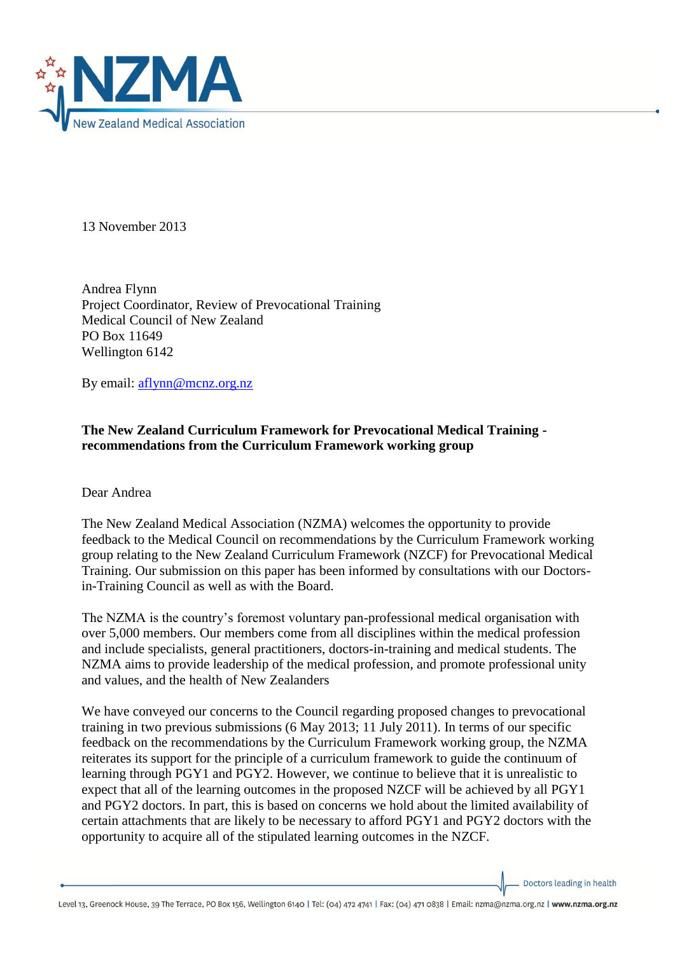

13 November 2013

Andrea Flynn Project Coordinator, Review of Prevocational Training Medical Council of New Zealand PO Box 11649 Wellington 6142

By email: [aflynn@mcnz.org.nz](mailto:aflynn@mcnz.org.nz)

## **The New Zealand Curriculum Framework for Prevocational Medical Training recommendations from the Curriculum Framework working group**

Dear Andrea

The New Zealand Medical Association (NZMA) welcomes the opportunity to provide feedback to the Medical Council on recommendations by the Curriculum Framework working group relating to the New Zealand Curriculum Framework (NZCF) for Prevocational Medical Training. Our submission on this paper has been informed by consultations with our Doctorsin-Training Council as well as with the Board.

The NZMA is the country's foremost voluntary pan-professional medical organisation with over 5,000 members. Our members come from all disciplines within the medical profession and include specialists, general practitioners, doctors-in-training and medical students. The NZMA aims to provide leadership of the medical profession, and promote professional unity and values, and the health of New Zealanders

We have conveyed our concerns to the Council regarding proposed changes to prevocational training in two previous submissions (6 May 2013; 11 July 2011). In terms of our specific feedback on the recommendations by the Curriculum Framework working group, the NZMA reiterates its support for the principle of a curriculum framework to guide the continuum of learning through PGY1 and PGY2. However, we continue to believe that it is unrealistic to expect that all of the learning outcomes in the proposed NZCF will be achieved by all PGY1 and PGY2 doctors. In part, this is based on concerns we hold about the limited availability of certain attachments that are likely to be necessary to afford PGY1 and PGY2 doctors with the opportunity to acquire all of the stipulated learning outcomes in the NZCF.

Doctors leading in health